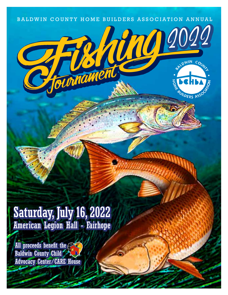

2022

**ANOW** 

# Saturday, July 16, 2022 American Legion Hall - Fairhope

tourname

All proceeds benefit the Baldwin County Child Advocacy Center/CARE House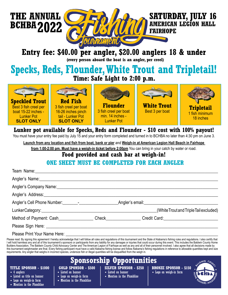



#### **SATURDAY, JULY 16 AMERICAN LEGION HALL FAIRHOPE**

**Entry fee: \$40.00 per angler, \$20.00 anglers 18 & under**

**(every person aboard the boat is an angler, per creel)**

## **Specks, Reds, Flounder, White Trout and Tripletail! Time: Safe Light to 2:00 p.m.**



### **Lunker pot available for Specks, Reds and Flounder - \$10 cost with 100% payout!**

You must have your entry fee paid by July 15 and your entry form completed and turned in to BCHBA no later than 4:30 pm on June 3.

**Launch from any location and fish from boat, bank or pier** and **Weigh-in at American Legion Hall Beach in Fairhope** 

**from 1:00-2:00 pm. Must have a weigh-in ticket before 2:00pm** You can bring in your catch by water or road.

#### **Food provided and cash bar at weigh-in!**

#### **ONE SHEET MUST BE COMPLETED FOR EACH ANGLER**

| Angler's Company Name: 1990 and 200 million and 200 million and 200 million and 200 million and 200 million and 200 million and 200 million and 200 million and 200 million and 200 million and 200 million and 200 million an |  |                                        |
|--------------------------------------------------------------------------------------------------------------------------------------------------------------------------------------------------------------------------------|--|----------------------------------------|
| Angler's Address: Management of the Angler's Address:                                                                                                                                                                          |  |                                        |
|                                                                                                                                                                                                                                |  | Angler's email: <b>Angler's</b> email: |
|                                                                                                                                                                                                                                |  | (White Trout and Triple Tail excluded) |
| Method of Payment: Cash________________Check______________Credit Card:______________________________                                                                                                                           |  |                                        |
|                                                                                                                                                                                                                                |  |                                        |
|                                                                                                                                                                                                                                |  |                                        |

Please Print Your Name Here:

Please read: By signing this agreement I hereby acknowledge that I will follow all rules and regulations of this tournament and the State of Alabama's fishing rules and regulations. I also certify that I will hold harmless any and all of this tournament's sponsors or participants from any liability for any damages or injuries that could occur during this event. This includes the Baldwin County Home Builders Association, The Baldwin County Child Advocacy Center and The American Legion of Fairhope as well as any and all of their personnel involved. I also agree that all decisions made by this tournament weighmaster are final. Every fishing participant must have a valid Alabama fishing license and follow Alabama's fishing regulations in reference to allowable quantities kept and size requirements. Any angler that weighs in incorrect species, undersize fish or illegal quantities will be disqualified from the weigh in.

### **Sponsorship Opportunities**

#### **TITLE SPONSOR - \$1000**

- 4 anglers
- Listed as title on banner
- Logo on weigh-in form
- **GOLD SPONSOR \$500** • Listed on banner
- Logo on weigh-in form
- Mention in the Plumbline
- Mention in the Plumbline
- **SILVER SPONSOR \$250** • Listed on banner
	- Mention in the Plumbline
- **BRONZE SPONSOR \$150** • Logo on weigh-in form
-